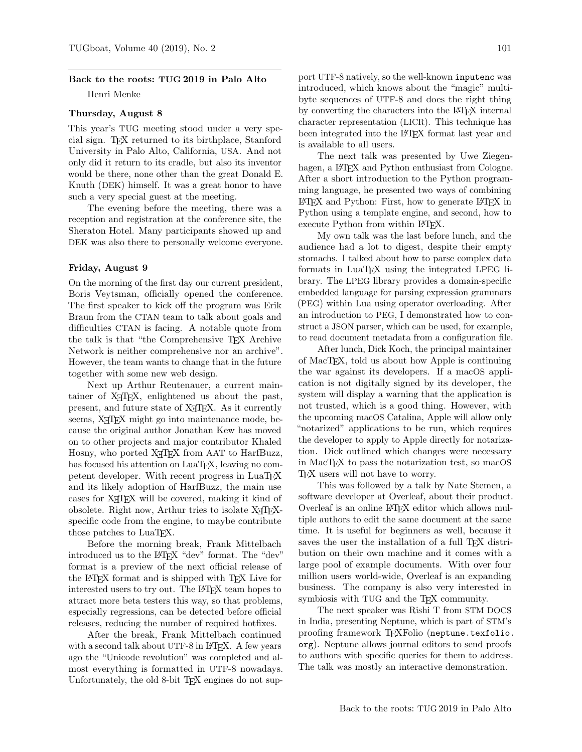# Back to the roots: TUG 2019 in Palo Alto

Henri Menke

## Thursday, August 8

This year's TUG meeting stood under a very special sign. TEX returned to its birthplace, Stanford University in Palo Alto, California, USA. And not only did it return to its cradle, but also its inventor would be there, none other than the great Donald E. Knuth (DEK) himself. It was a great honor to have such a very special guest at the meeting.

The evening before the meeting, there was a reception and registration at the conference site, the Sheraton Hotel. Many participants showed up and DEK was also there to personally welcome everyone.

#### Friday, August 9

On the morning of the first day our current president, Boris Veytsman, officially opened the conference. The first speaker to kick off the program was Erik Braun from the CTAN team to talk about goals and difficulties CTAN is facing. A notable quote from the talk is that "the Comprehensive TEX Archive Network is neither comprehensive nor an archive". However, the team wants to change that in the future together with some new web design.

Next up Arthur Reutenauer, a current maintainer of X<sub>T</sub>T<sub>E</sub>X, enlightened us about the past, present, and future state of  $X \nsubseteq Y$ . As it currently seems, X<sub>T</sub>T<sub>F</sub>X might go into maintenance mode, because the original author Jonathan Kew has moved on to other projects and major contributor Khaled Hosny, who ported X<sub>T</sub>T<sub>F</sub>X from AAT to HarfBuzz, has focused his attention on LuaTEX, leaving no competent developer. With recent progress in LuaT<sub>EX</sub> and its likely adoption of HarfBuzz, the main use cases for X<sub>T</sub>T<sub>F</sub>X will be covered, making it kind of obsolete. Right now, Arthur tries to isolate X<sub>T</sub>T<sub>F</sub>Xspecific code from the engine, to maybe contribute those patches to LuaT<sub>EX</sub>.

Before the morning break, Frank Mittelbach introduced us to the LAT<sub>EX</sub> "dev" format. The "dev" format is a preview of the next official release of the LATEX format and is shipped with TEX Live for interested users to try out. The L<sup>AT</sup>EX team hopes to attract more beta testers this way, so that problems, especially regressions, can be detected before official releases, reducing the number of required hotfixes.

After the break, Frank Mittelbach continued with a second talk about UTF-8 in LAT<sub>F</sub>X. A few years ago the "Unicode revolution" was completed and almost everything is formatted in UTF-8 nowadays. Unfortunately, the old 8-bit T<sub>EX</sub> engines do not support UTF-8 natively, so the well-known [inputenc](https://ctan.org/pkg/inputenc) was introduced, which knows about the "magic" multibyte sequences of UTF-8 and does the right thing by converting the characters into the LATEX internal character representation (LICR). This technique has been integrated into the LATEX format last year and is available to all users.

The next talk was presented by Uwe Ziegenhagen, a LAT<sub>F</sub>X and Python enthusiast from Cologne. After a short introduction to the Python programming language, he presented two ways of combining LATEX and Python: First, how to generate LATEX in Python using a template engine, and second, how to execute Python from within LAT<sub>EX</sub>.

My own talk was the last before lunch, and the audience had a lot to digest, despite their empty stomachs. I talked about how to parse complex data formats in LuaT<sub>EX</sub> using the integrated LPEG library. The LPEG library provides a domain-specific embedded language for parsing expression grammars (PEG) within Lua using operator overloading. After an introduction to PEG, I demonstrated how to construct a JSON parser, which can be used, for example, to read document metadata from a configuration file.

After lunch, Dick Koch, the principal maintainer of MacTEX, told us about how Apple is continuing the war against its developers. If a macOS application is not digitally signed by its developer, the system will display a warning that the application is not trusted, which is a good thing. However, with the upcoming macOS Catalina, Apple will allow only "notarized" applications to be run, which requires the developer to apply to Apple directly for notarization. Dick outlined which changes were necessary in MacTEX to pass the notarization test, so macOS T<sub>F</sub>X users will not have to worry.

This was followed by a talk by Nate Stemen, a software developer at Overleaf, about their product. Overleaf is an online LATEX editor which allows multiple authors to edit the same document at the same time. It is useful for beginners as well, because it saves the user the installation of a full TEX distribution on their own machine and it comes with a large pool of example documents. With over four million users world-wide, Overleaf is an expanding business. The company is also very interested in symbiosis with TUG and the T<sub>E</sub>X community.

The next speaker was Rishi T from STM DOCS in India, presenting Neptune, which is part of STM's proofing framework TEXFolio ([neptune.texfolio.](neptune.texfolio.org) [org](neptune.texfolio.org)). Neptune allows journal editors to send proofs to authors with specific queries for them to address. The talk was mostly an interactive demonstration.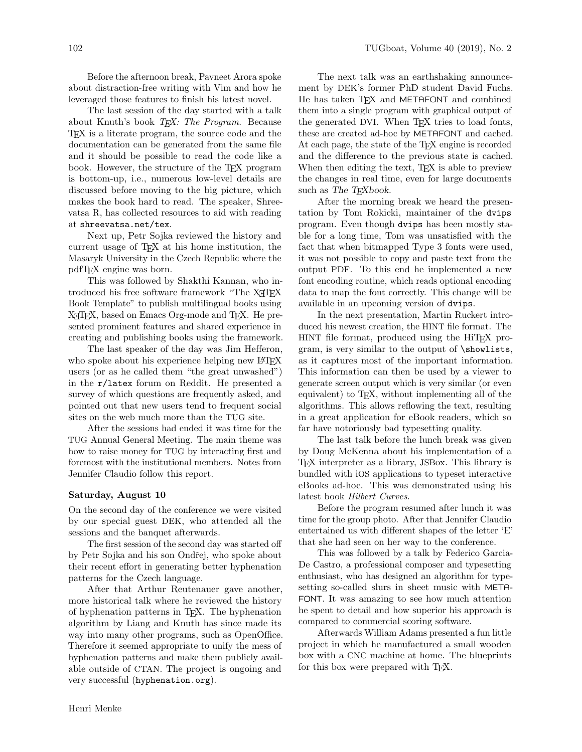Before the afternoon break, Pavneet Arora spoke about distraction-free writing with Vim and how he leveraged those features to finish his latest novel.

The last session of the day started with a talk about Knuth's book  $T_F X$ : The Program. Because TEX is a literate program, the source code and the documentation can be generated from the same file and it should be possible to read the code like a book. However, the structure of the TEX program is bottom-up, i.e., numerous low-level details are discussed before moving to the big picture, which makes the book hard to read. The speaker, Shreevatsa R, has collected resources to aid with reading at <shreevatsa.net/tex>.

Next up, Petr Sojka reviewed the history and current usage of TEX at his home institution, the Masaryk University in the Czech Republic where the pdfTEX engine was born.

This was followed by Shakthi Kannan, who introduced his free software framework "The X<sub>IIE</sub>X Book Template" to publish multilingual books using X<sub>T</sub>T<sub>F</sub>X, based on Emacs Org-mode and T<sub>F</sub>X. He presented prominent features and shared experience in creating and publishing books using the framework.

The last speaker of the day was Jim Hefferon, who spoke about his experience helping new LAT<sub>EX</sub> users (or as he called them "the great unwashed") in the r/latex forum on Reddit. He presented a survey of which questions are frequently asked, and pointed out that new users tend to frequent social sites on the web much more than the TUG site.

After the sessions had ended it was time for the TUG Annual General Meeting. The main theme was how to raise money for TUG by interacting first and foremost with the institutional members. Notes from Jennifer Claudio follow this report.

## Saturday, August 10

On the second day of the conference we were visited by our special guest DEK, who attended all the sessions and the banquet afterwards.

The first session of the second day was started off by Petr Sojka and his son Ondřej, who spoke about their recent effort in generating better hyphenation patterns for the Czech language.

After that Arthur Reutenauer gave another, more historical talk where he reviewed the history of hyphenation patterns in TEX. The hyphenation algorithm by Liang and Knuth has since made its way into many other programs, such as OpenOffice. Therefore it seemed appropriate to unify the mess of hyphenation patterns and make them publicly available outside of CTAN. The project is ongoing and very successful (<hyphenation.org>).

The next talk was an earthshaking announcement by DEK's former PhD student David Fuchs. He has taken TEX and METAFONT and combined them into a single program with graphical output of the generated DVI. When T<sub>F</sub>X tries to load fonts, these are created ad-hoc by METAFONT and cached. At each page, the state of the T<sub>E</sub>X engine is recorded and the difference to the previous state is cached. When then editing the text, T<sub>EX</sub> is able to preview the changes in real time, even for large documents such as The T<sub>F</sub>Xbook.

After the morning break we heard the presentation by Tom Rokicki, maintainer of the [dvips](https://ctan.org/pkg/dvips) program. Even though [dvips](https://ctan.org/pkg/dvips) has been mostly stable for a long time, Tom was unsatisfied with the fact that when bitmapped Type 3 fonts were used, it was not possible to copy and paste text from the output PDF. To this end he implemented a new font encoding routine, which reads optional encoding data to map the font correctly. This change will be available in an upcoming version of [dvips](https://ctan.org/pkg/dvips).

In the next presentation, Martin Ruckert introduced his newest creation, the HINT file format. The HINT file format, produced using the HiT<sub>E</sub>X program, is very similar to the output of \showlists, as it captures most of the important information. This information can then be used by a viewer to generate screen output which is very similar (or even equivalent) to TEX, without implementing all of the algorithms. This allows reflowing the text, resulting in a great application for eBook readers, which so far have notoriously bad typesetting quality.

The last talk before the lunch break was given by Doug McKenna about his implementation of a TEX interpreter as a library, JSBox. This library is bundled with iOS applications to typeset interactive eBooks ad-hoc. This was demonstrated using his latest book Hilbert Curves.

Before the program resumed after lunch it was time for the group photo. After that Jennifer Claudio entertained us with different shapes of the letter 'E' that she had seen on her way to the conference.

This was followed by a talk by Federico Garcia-De Castro, a professional composer and typesetting enthusiast, who has designed an algorithm for typesetting so-called slurs in sheet music with META-FONT. It was amazing to see how much attention he spent to detail and how superior his approach is compared to commercial scoring software.

Afterwards William Adams presented a fun little project in which he manufactured a small wooden box with a CNC machine at home. The blueprints for this box were prepared with T<sub>E</sub>X.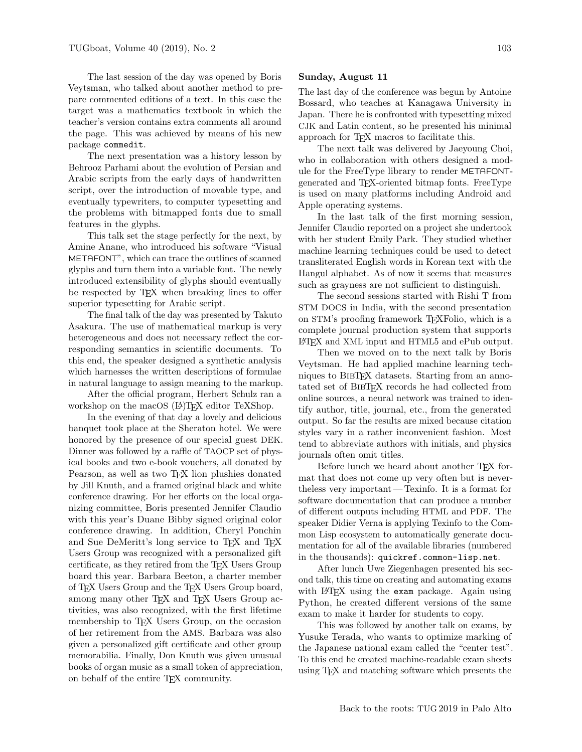The last session of the day was opened by Boris Veytsman, who talked about another method to prepare commented editions of a text. In this case the target was a mathematics textbook in which the teacher's version contains extra comments all around the page. This was achieved by means of his new package [commedit](https://ctan.org/pkg/commedit).

The next presentation was a history lesson by Behrooz Parhami about the evolution of Persian and Arabic scripts from the early days of handwritten script, over the introduction of movable type, and eventually typewriters, to computer typesetting and the problems with bitmapped fonts due to small features in the glyphs.

This talk set the stage perfectly for the next, by Amine Anane, who introduced his software "Visual METAFONT", which can trace the outlines of scanned glyphs and turn them into a variable font. The newly introduced extensibility of glyphs should eventually be respected by TEX when breaking lines to offer superior typesetting for Arabic script.

The final talk of the day was presented by Takuto Asakura. The use of mathematical markup is very heterogeneous and does not necessary reflect the corresponding semantics in scientific documents. To this end, the speaker designed a synthetic analysis which harnesses the written descriptions of formulae in natural language to assign meaning to the markup.

After the official program, Herbert Schulz ran a workshop on the macOS (LA)T<sub>E</sub>X editor TeXShop.

In the evening of that day a lovely and delicious banquet took place at the Sheraton hotel. We were honored by the presence of our special guest DEK. Dinner was followed by a raffle of TAOCP set of physical books and two e-book vouchers, all donated by Pearson, as well as two T<sub>E</sub>X lion plushies donated by Jill Knuth, and a framed original black and white conference drawing. For her efforts on the local organizing committee, Boris presented Jennifer Claudio with this year's Duane Bibby signed original color conference drawing. In addition, Cheryl Ponchin and Sue DeMeritt's long service to TEX and TEX Users Group was recognized with a personalized gift certificate, as they retired from the TEX Users Group board this year. Barbara Beeton, a charter member of TEX Users Group and the TEX Users Group board, among many other T<sub>E</sub>X and T<sub>E</sub>X Users Group activities, was also recognized, with the first lifetime membership to TEX Users Group, on the occasion of her retirement from the AMS. Barbara was also given a personalized gift certificate and other group memorabilia. Finally, Don Knuth was given unusual books of organ music as a small token of appreciation, on behalf of the entire TEX community.

### Sunday, August 11

The last day of the conference was begun by Antoine Bossard, who teaches at Kanagawa University in Japan. There he is confronted with typesetting mixed CJK and Latin content, so he presented his minimal approach for TEX macros to facilitate this.

The next talk was delivered by Jaeyoung Choi, who in collaboration with others designed a module for the FreeType library to render METAFONTgenerated and TEX-oriented bitmap fonts. FreeType is used on many platforms including Android and Apple operating systems.

In the last talk of the first morning session, Jennifer Claudio reported on a project she undertook with her student Emily Park. They studied whether machine learning techniques could be used to detect transliterated English words in Korean text with the Hangul alphabet. As of now it seems that measures such as grayness are not sufficient to distinguish.

The second sessions started with Rishi T from STM DOCS in India, with the second presentation on STM's proofing framework T<sub>E</sub>XFolio, which is a complete journal production system that supports LATEX and XML input and HTML5 and ePub output.

Then we moved on to the next talk by Boris Veytsman. He had applied machine learning techniques to BIBT<sub>F</sub>X datasets. Starting from an annotated set of BibTEX records he had collected from online sources, a neural network was trained to identify author, title, journal, etc., from the generated output. So far the results are mixed because citation styles vary in a rather inconvenient fashion. Most tend to abbreviate authors with initials, and physics journals often omit titles.

Before lunch we heard about another T<sub>E</sub>X format that does not come up very often but is nevertheless very important — Texinfo. It is a format for software documentation that can produce a number of different outputs including HTML and PDF. The speaker Didier Verna is applying Texinfo to the Common Lisp ecosystem to automatically generate documentation for all of the available libraries (numbered in the thousands): <quickref.common-lisp.net>.

After lunch Uwe Ziegenhagen presented his second talk, this time on creating and automating exams with LAT<sub>F</sub>X using the [exam](https://ctan.org/pkg/exam) package. Again using Python, he created different versions of the same exam to make it harder for students to copy.

This was followed by another talk on exams, by Yusuke Terada, who wants to optimize marking of the Japanese national exam called the "center test". To this end he created machine-readable exam sheets using TEX and matching software which presents the